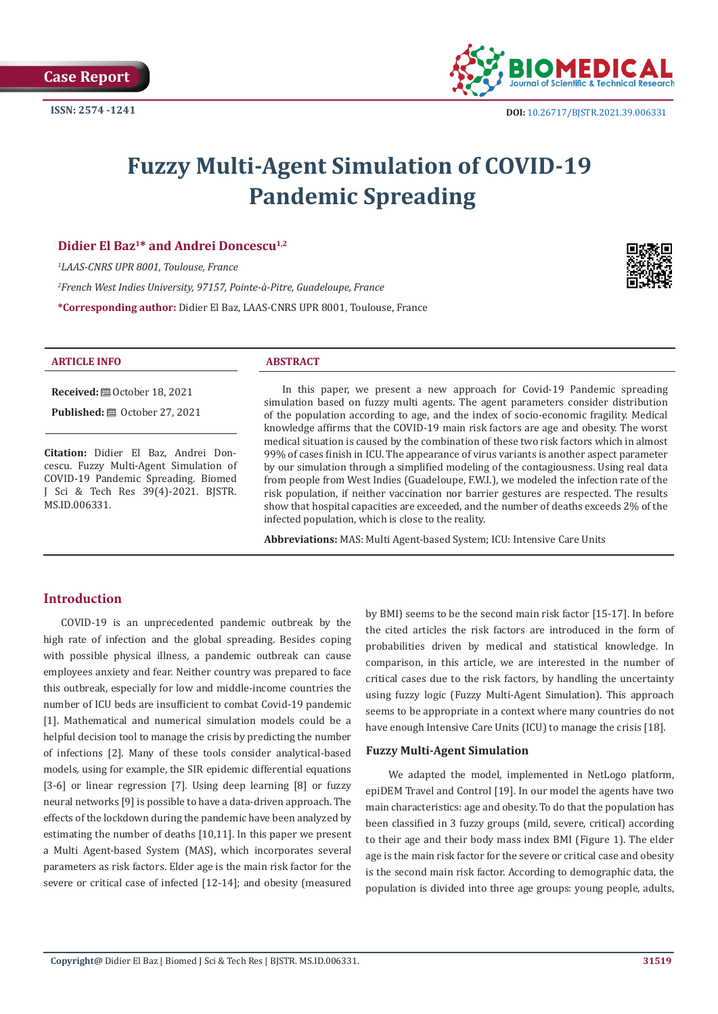

# **Fuzzy Multi-Agent Simulation of COVID-19 Pandemic Spreading**

## Didier El Baz<sup>1\*</sup> and Andrei Doncescu<sup>1,2</sup>

*1 LAAS-CNRS UPR 8001, Toulouse, France*

*2 French West Indies University, 97157, Pointe-à-Pitre, Guadeloupe, France*

**\*Corresponding author:** Didier El Baz, LAAS-CNRS UPR 8001, Toulouse, France



#### **ARTICLE INFO ABSTRACT**

**Received:** ■ October 18, 2021

**Published:** @ October 27, 2021

**Citation:** Didier El Baz, Andrei Doncescu. Fuzzy Multi-Agent Simulation of COVID-19 Pandemic Spreading. Biomed J Sci & Tech Res 39(4)-2021. BJSTR. MS.ID.006331.

In this paper, we present a new approach for Covid-19 Pandemic spreading simulation based on fuzzy multi agents. The agent parameters consider distribution of the population according to age, and the index of socio-economic fragility. Medical knowledge affirms that the COVID-19 main risk factors are age and obesity. The worst medical situation is caused by the combination of these two risk factors which in almost 99% of cases finish in ICU. The appearance of virus variants is another aspect parameter by our simulation through a simplified modeling of the contagiousness. Using real data from people from West Indies (Guadeloupe, F.W.I.), we modeled the infection rate of the risk population, if neither vaccination nor barrier gestures are respected. The results show that hospital capacities are exceeded, and the number of deaths exceeds 2% of the infected population, which is close to the reality.

**Abbreviations:** MAS: Multi Agent-based System; ICU: Intensive Care Units

# **Introduction**

COVID-19 is an unprecedented pandemic outbreak by the high rate of infection and the global spreading. Besides coping with possible physical illness, a pandemic outbreak can cause employees anxiety and fear. Neither country was prepared to face this outbreak, especially for low and middle-income countries the number of ICU beds are insufficient to combat Covid-19 pandemic [1]. Mathematical and numerical simulation models could be a helpful decision tool to manage the crisis by predicting the number of infections [2]. Many of these tools consider analytical-based models, using for example, the SIR epidemic differential equations [3-6] or linear regression [7]. Using deep learning [8] or fuzzy neural networks [9] is possible to have a data-driven approach. The effects of the lockdown during the pandemic have been analyzed by estimating the number of deaths [10,11]. In this paper we present a Multi Agent-based System (MAS), which incorporates several parameters as risk factors. Elder age is the main risk factor for the severe or critical case of infected [12-14]; and obesity (measured

by BMI) seems to be the second main risk factor [15-17]. In before the cited articles the risk factors are introduced in the form of probabilities driven by medical and statistical knowledge. In comparison, in this article, we are interested in the number of critical cases due to the risk factors, by handling the uncertainty using fuzzy logic (Fuzzy Multi-Agent Simulation). This approach seems to be appropriate in a context where many countries do not have enough Intensive Care Units (ICU) to manage the crisis [18].

#### **Fuzzy Multi-Agent Simulation**

 We adapted the model, implemented in NetLogo platform, epiDEM Travel and Control [19]. In our model the agents have two main characteristics: age and obesity. To do that the population has been classified in 3 fuzzy groups (mild, severe, critical) according to their age and their body mass index BMI (Figure 1). The elder age is the main risk factor for the severe or critical case and obesity is the second main risk factor. According to demographic data, the population is divided into three age groups: young people, adults,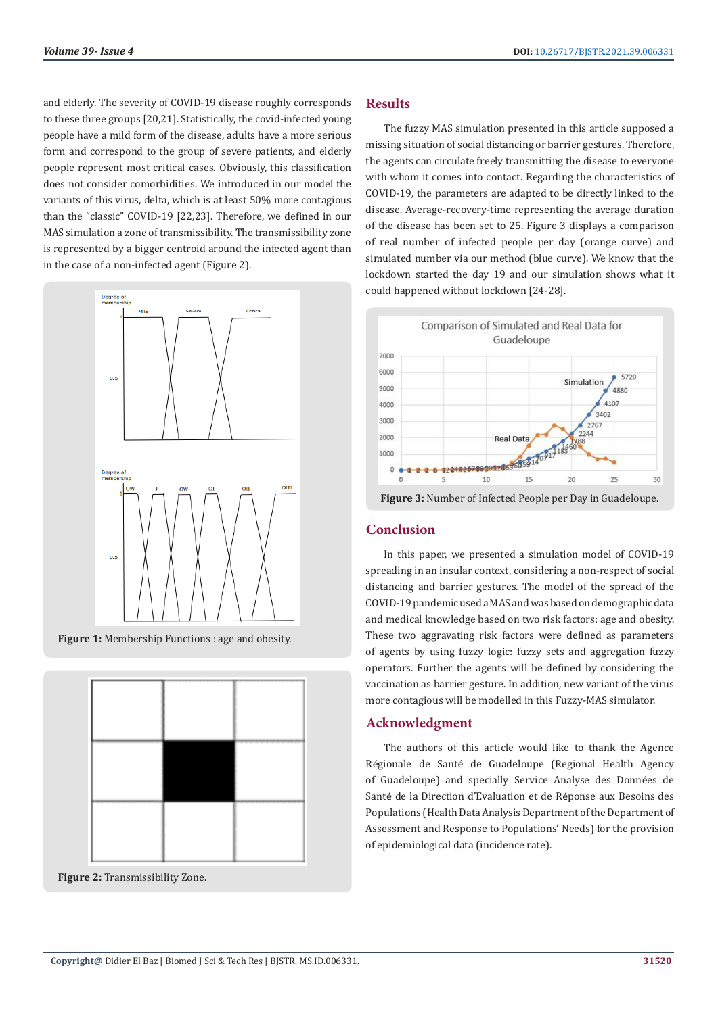and elderly. The severity of COVID-19 disease roughly corresponds to these three groups [20,21]. Statistically, the covid-infected young people have a mild form of the disease, adults have a more serious form and correspond to the group of severe patients, and elderly people represent most critical cases. Obviously, this classification does not consider comorbidities. We introduced in our model the variants of this virus, delta, which is at least 50% more contagious than the "classic" COVID-19 [22,23]. Therefore, we defined in our MAS simulation a zone of transmissibility. The transmissibility zone is represented by a bigger centroid around the infected agent than in the case of a non-infected agent (Figure 2).



**Figure 1:** Membership Functions : age and obesity.



**Figure 2:** Transmissibility Zone.

## **Results**

The fuzzy MAS simulation presented in this article supposed a missing situation of social distancing or barrier gestures. Therefore, the agents can circulate freely transmitting the disease to everyone with whom it comes into contact. Regarding the characteristics of COVID-19, the parameters are adapted to be directly linked to the disease. Average-recovery-time representing the average duration of the disease has been set to 25. Figure 3 displays a comparison of real number of infected people per day (orange curve) and simulated number via our method (blue curve). We know that the lockdown started the day 19 and our simulation shows what it could happened without lockdown [24-28].



# **Conclusion**

In this paper, we presented a simulation model of COVID-19 spreading in an insular context, considering a non-respect of social distancing and barrier gestures. The model of the spread of the COVID-19 pandemic used a MAS and was based on demographic data and medical knowledge based on two risk factors: age and obesity. These two aggravating risk factors were defined as parameters of agents by using fuzzy logic: fuzzy sets and aggregation fuzzy operators. Further the agents will be defined by considering the vaccination as barrier gesture. In addition, new variant of the virus more contagious will be modelled in this Fuzzy-MAS simulator.

# **Acknowledgment**

The authors of this article would like to thank the Agence Régionale de Santé de Guadeloupe (Regional Health Agency of Guadeloupe) and specially Service Analyse des Données de Santé de la Direction d'Evaluation et de Réponse aux Besoins des Populations (Health Data Analysis Department of the Department of Assessment and Response to Populations' Needs) for the provision of epidemiological data (incidence rate).